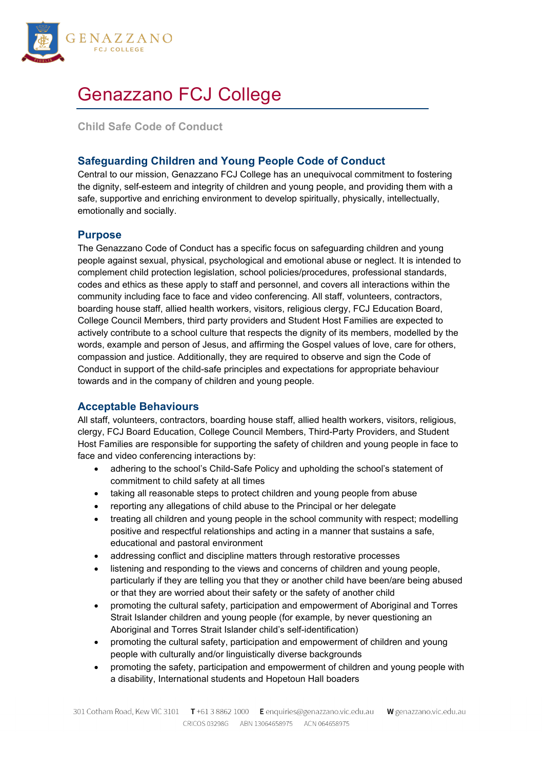

# Genazzano FCJ College

**Child Safe Code of Conduct**

# **Safeguarding Children and Young People Code of Conduct**

Central to our mission, Genazzano FCJ College has an unequivocal commitment to fostering the dignity, self-esteem and integrity of children and young people, and providing them with a safe, supportive and enriching environment to develop spiritually, physically, intellectually, emotionally and socially.

#### **Purpose**

The Genazzano Code of Conduct has a specific focus on safeguarding children and young people against sexual, physical, psychological and emotional abuse or neglect. It is intended to complement child protection legislation, school policies/procedures, professional standards, codes and ethics as these apply to staff and personnel, and covers all interactions within the community including face to face and video conferencing. All staff, volunteers, contractors, boarding house staff, allied health workers, visitors, religious clergy, FCJ Education Board, College Council Members, third party providers and Student Host Families are expected to actively contribute to a school culture that respects the dignity of its members, modelled by the words, example and person of Jesus, and affirming the Gospel values of love, care for others, compassion and justice. Additionally, they are required to observe and sign the Code of Conduct in support of the child-safe principles and expectations for appropriate behaviour towards and in the company of children and young people.

## **Acceptable Behaviours**

All staff, volunteers, contractors, boarding house staff, allied health workers, visitors, religious, clergy, FCJ Board Education, College Council Members, Third-Party Providers, and Student Host Families are responsible for supporting the safety of children and young people in face to face and video conferencing interactions by:

- adhering to the school's Child-Safe Policy and upholding the school's statement of commitment to child safety at all times
- taking all reasonable steps to protect children and young people from abuse
- reporting any allegations of child abuse to the Principal or her delegate
- treating all children and young people in the school community with respect; modelling positive and respectful relationships and acting in a manner that sustains a safe, educational and pastoral environment
- addressing conflict and discipline matters through restorative processes
- listening and responding to the views and concerns of children and young people, particularly if they are telling you that they or another child have been/are being abused or that they are worried about their safety or the safety of another child
- promoting the cultural safety, participation and empowerment of Aboriginal and Torres Strait Islander children and young people (for example, by never questioning an Aboriginal and Torres Strait Islander child's self-identification)
- promoting the cultural safety, participation and empowerment of children and young people with culturally and/or linguistically diverse backgrounds
- promoting the safety, participation and empowerment of children and young people with a disability, International students and Hopetoun Hall boaders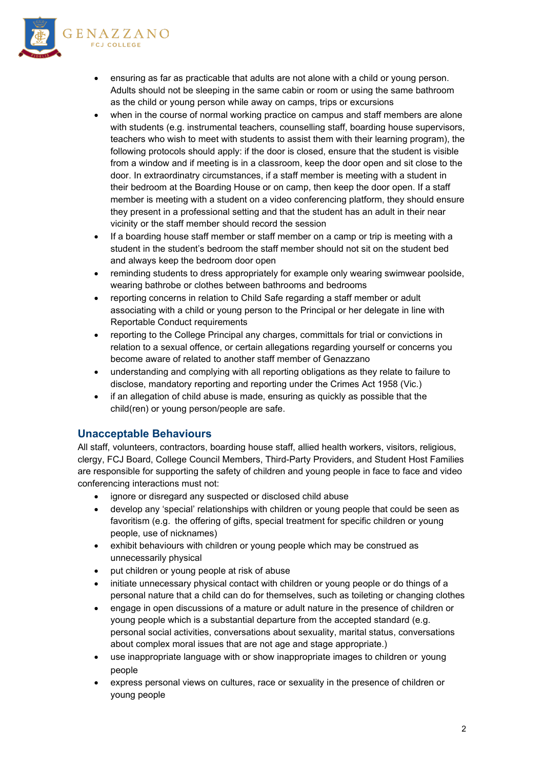



- ensuring as far as practicable that adults are not alone with a child or young person. Adults should not be sleeping in the same cabin or room or using the same bathroom as the child or young person while away on camps, trips or excursions
- when in the course of normal working practice on campus and staff members are alone with students (e.g. instrumental teachers, counselling staff, boarding house supervisors, teachers who wish to meet with students to assist them with their learning program), the following protocols should apply: if the door is closed, ensure that the student is visible from a window and if meeting is in a classroom, keep the door open and sit close to the door. In extraordinatry circumstances, if a staff member is meeting with a student in their bedroom at the Boarding House or on camp, then keep the door open. If a staff member is meeting with a student on a video conferencing platform, they should ensure they present in a professional setting and that the student has an adult in their near vicinity or the staff member should record the session
- If a boarding house staff member or staff member on a camp or trip is meeting with a student in the student's bedroom the staff member should not sit on the student bed and always keep the bedroom door open
- reminding students to dress appropriately for example only wearing swimwear poolside, wearing bathrobe or clothes between bathrooms and bedrooms
- reporting concerns in relation to Child Safe regarding a staff member or adult associating with a child or young person to the Principal or her delegate in line with Reportable Conduct requirements
- reporting to the College Principal any charges, committals for trial or convictions in relation to a sexual offence, or certain allegations regarding yourself or concerns you become aware of related to another staff member of Genazzano
- understanding and complying with all reporting obligations as they relate to failure to disclose, mandatory reporting and reporting under the Crimes Act 1958 (Vic.)
- if an allegation of child abuse is made, ensuring as quickly as possible that the child(ren) or young person/people are safe.

## **Unacceptable Behaviours**

All staff, volunteers, contractors, boarding house staff, allied health workers, visitors, religious, clergy, FCJ Board, College Council Members, Third-Party Providers, and Student Host Families are responsible for supporting the safety of children and young people in face to face and video conferencing interactions must not:

- ignore or disregard any suspected or disclosed child abuse
- develop any 'special' relationships with children or young people that could be seen as favoritism (e.g. the offering of gifts, special treatment for specific children or young people, use of nicknames)
- exhibit behaviours with children or young people which may be construed as unnecessarily physical
- put children or young people at risk of abuse
- initiate unnecessary physical contact with children or young people or do things of a personal nature that a child can do for themselves, such as toileting or changing clothes
- engage in open discussions of a mature or adult nature in the presence of children or young people which is a substantial departure from the accepted standard (e.g. personal social activities, conversations about sexuality, marital status, conversations about complex moral issues that are not age and stage appropriate.)
- use inappropriate language with or show inappropriate images to children or young people
- express personal views on cultures, race or sexuality in the presence of children or young people